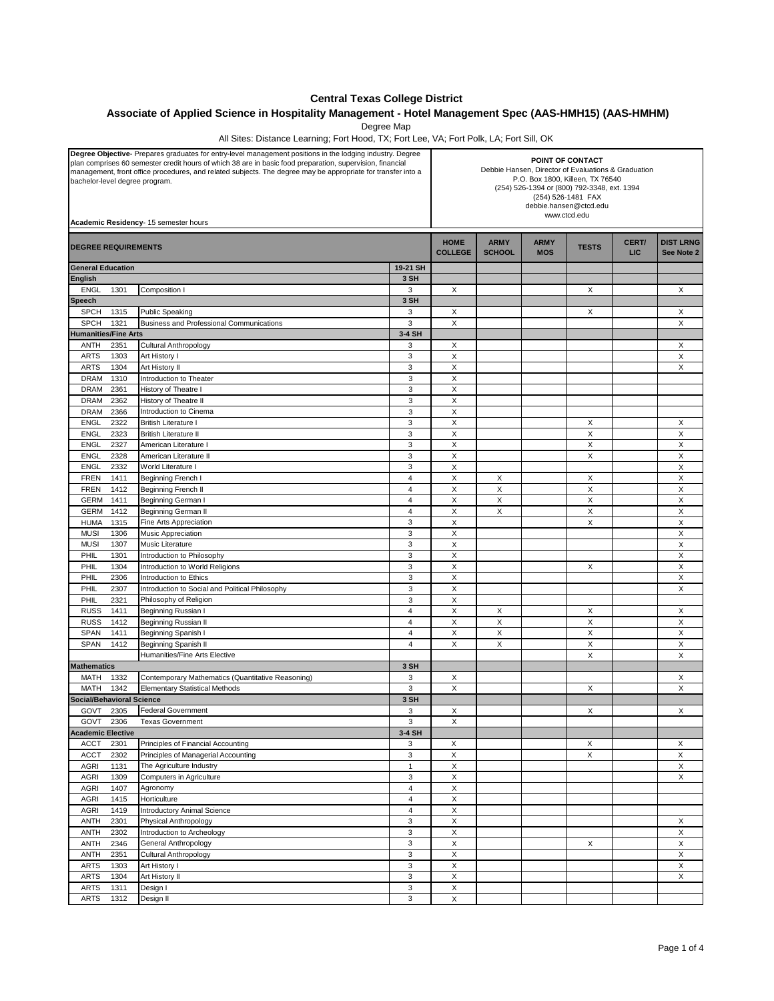## **Central Texas College District**

## **Associate of Applied Science in Hospitality Management - Hotel Management Spec (AAS-HMH15) (AAS-HMHM)**

Degree Map

All Sites: Distance Learning; Fort Hood, TX; Fort Lee, VA; Fort Polk, LA; Fort Sill, OK

| Degree Objective-Prepares graduates for entry-level management positions in the lodging industry. Degree<br>plan comprises 60 semester credit hours of which 38 are in basic food preparation, supervision, financial<br>management, front office procedures, and related subjects. The degree may be appropriate for transfer into a<br>bachelor-level degree program.<br>Academic Residency- 15 semester hours |                                                                                            |                         | POINT OF CONTACT<br>Debbie Hansen, Director of Evaluations & Graduation<br>P.O. Box 1800, Killeen, TX 76540<br>(254) 526-1394 or (800) 792-3348, ext. 1394<br>(254) 526-1481 FAX<br>debbie.hansen@ctcd.edu<br>www.ctcd.edu |                              |                           |              |                     |                                |  |
|------------------------------------------------------------------------------------------------------------------------------------------------------------------------------------------------------------------------------------------------------------------------------------------------------------------------------------------------------------------------------------------------------------------|--------------------------------------------------------------------------------------------|-------------------------|----------------------------------------------------------------------------------------------------------------------------------------------------------------------------------------------------------------------------|------------------------------|---------------------------|--------------|---------------------|--------------------------------|--|
| <b>DEGREE REQUIREMENTS</b>                                                                                                                                                                                                                                                                                                                                                                                       |                                                                                            |                         | <b>HOME</b><br><b>COLLEGE</b>                                                                                                                                                                                              | <b>ARMY</b><br><b>SCHOOL</b> | <b>ARMY</b><br><b>MOS</b> | <b>TESTS</b> | CERT/<br><b>LIC</b> | <b>DIST LRNG</b><br>See Note 2 |  |
| <b>General Education</b>                                                                                                                                                                                                                                                                                                                                                                                         |                                                                                            | 19-21 SH                |                                                                                                                                                                                                                            |                              |                           |              |                     |                                |  |
| English                                                                                                                                                                                                                                                                                                                                                                                                          |                                                                                            | 3 SH                    |                                                                                                                                                                                                                            |                              |                           |              |                     |                                |  |
| <b>ENGL</b><br>1301                                                                                                                                                                                                                                                                                                                                                                                              | Composition I                                                                              | 3                       | X                                                                                                                                                                                                                          |                              |                           | X            |                     | X                              |  |
| Speech                                                                                                                                                                                                                                                                                                                                                                                                           |                                                                                            | 3 SH                    |                                                                                                                                                                                                                            |                              |                           |              |                     |                                |  |
| <b>SPCH</b><br>1315<br><b>SPCH</b><br>1321                                                                                                                                                                                                                                                                                                                                                                       | <b>Public Speaking</b>                                                                     | 3<br>3                  | Х                                                                                                                                                                                                                          |                              |                           | Х            |                     | Х                              |  |
| <b>Humanities/Fine Arts</b>                                                                                                                                                                                                                                                                                                                                                                                      | Business and Professional Communications                                                   | 3-4 SH                  | Χ                                                                                                                                                                                                                          |                              |                           |              |                     | Χ                              |  |
| ANTH<br>2351                                                                                                                                                                                                                                                                                                                                                                                                     | Cultural Anthropology                                                                      | 3                       | Х                                                                                                                                                                                                                          |                              |                           |              |                     | X                              |  |
| <b>ARTS</b><br>1303                                                                                                                                                                                                                                                                                                                                                                                              | Art History I                                                                              | 3                       | X                                                                                                                                                                                                                          |                              |                           |              |                     | X                              |  |
| <b>ARTS</b><br>1304                                                                                                                                                                                                                                                                                                                                                                                              | Art History II                                                                             | 3                       | X                                                                                                                                                                                                                          |                              |                           |              |                     | X                              |  |
| <b>DRAM</b><br>1310                                                                                                                                                                                                                                                                                                                                                                                              | Introduction to Theater                                                                    | 3                       | X                                                                                                                                                                                                                          |                              |                           |              |                     |                                |  |
| <b>DRAM</b><br>2361                                                                                                                                                                                                                                                                                                                                                                                              | History of Theatre I                                                                       | 3                       | X                                                                                                                                                                                                                          |                              |                           |              |                     |                                |  |
| 2362<br><b>DRAM</b>                                                                                                                                                                                                                                                                                                                                                                                              | History of Theatre II                                                                      | 3                       | X                                                                                                                                                                                                                          |                              |                           |              |                     |                                |  |
| <b>DRAM</b><br>2366                                                                                                                                                                                                                                                                                                                                                                                              | Introduction to Cinema                                                                     | 3                       | X                                                                                                                                                                                                                          |                              |                           |              |                     |                                |  |
| <b>ENGL</b><br>2322                                                                                                                                                                                                                                                                                                                                                                                              | <b>British Literature I</b>                                                                | 3                       | X                                                                                                                                                                                                                          |                              |                           | X            |                     | X                              |  |
| <b>ENGL</b><br>2323                                                                                                                                                                                                                                                                                                                                                                                              | <b>British Literature II</b>                                                               | 3                       | X                                                                                                                                                                                                                          |                              |                           | X            |                     | X                              |  |
| <b>ENGL</b><br>2327                                                                                                                                                                                                                                                                                                                                                                                              | American Literature I                                                                      | 3                       | X                                                                                                                                                                                                                          |                              |                           | X            |                     | X                              |  |
| <b>ENGL</b><br>2328                                                                                                                                                                                                                                                                                                                                                                                              | American Literature II                                                                     | 3                       | X                                                                                                                                                                                                                          |                              |                           | X            |                     | X                              |  |
| 2332<br><b>ENGL</b>                                                                                                                                                                                                                                                                                                                                                                                              | World Literature I                                                                         | 3                       | X                                                                                                                                                                                                                          |                              |                           |              |                     | X                              |  |
| <b>FREN</b><br>1411                                                                                                                                                                                                                                                                                                                                                                                              | Beginning French I                                                                         | 4<br>$\overline{4}$     | X                                                                                                                                                                                                                          | Х                            |                           | Х            |                     | X                              |  |
| <b>FREN</b><br>1412                                                                                                                                                                                                                                                                                                                                                                                              | Beginning French II                                                                        | $\overline{4}$          | X                                                                                                                                                                                                                          | X                            |                           | X            |                     | X                              |  |
| <b>GERM</b><br>1411<br><b>GERM</b><br>1412                                                                                                                                                                                                                                                                                                                                                                       | Beginning German I<br><b>Beginning German II</b>                                           | $\overline{4}$          | X<br>X                                                                                                                                                                                                                     | X<br>X                       |                           | X<br>X       |                     | X<br>X                         |  |
| <b>HUMA</b><br>1315                                                                                                                                                                                                                                                                                                                                                                                              | Fine Arts Appreciation                                                                     | 3                       | X                                                                                                                                                                                                                          |                              |                           | X            |                     | X                              |  |
| <b>MUSI</b><br>1306                                                                                                                                                                                                                                                                                                                                                                                              | Music Appreciation                                                                         | 3                       | X                                                                                                                                                                                                                          |                              |                           |              |                     | Х                              |  |
| <b>MUSI</b><br>1307                                                                                                                                                                                                                                                                                                                                                                                              | Music Literature                                                                           | 3                       | X                                                                                                                                                                                                                          |                              |                           |              |                     | X                              |  |
| PHIL<br>1301                                                                                                                                                                                                                                                                                                                                                                                                     | Introduction to Philosophy                                                                 | 3                       | X                                                                                                                                                                                                                          |                              |                           |              |                     | X                              |  |
| PHIL<br>1304                                                                                                                                                                                                                                                                                                                                                                                                     | Introduction to World Religions                                                            | 3                       | X                                                                                                                                                                                                                          |                              |                           | X            |                     | X                              |  |
| 2306<br>PHIL                                                                                                                                                                                                                                                                                                                                                                                                     | Introduction to Ethics                                                                     | 3                       | X                                                                                                                                                                                                                          |                              |                           |              |                     | X                              |  |
| PHIL<br>2307                                                                                                                                                                                                                                                                                                                                                                                                     | Introduction to Social and Political Philosophy                                            | 3                       | X                                                                                                                                                                                                                          |                              |                           |              |                     | X                              |  |
| PHIL<br>2321                                                                                                                                                                                                                                                                                                                                                                                                     | Philosophy of Religion                                                                     | 3                       | X                                                                                                                                                                                                                          |                              |                           |              |                     |                                |  |
| <b>RUSS</b><br>1411                                                                                                                                                                                                                                                                                                                                                                                              | Beginning Russian I                                                                        | $\overline{4}$          | X                                                                                                                                                                                                                          | Χ                            |                           | Х            |                     | Х                              |  |
| <b>RUSS</b><br>1412                                                                                                                                                                                                                                                                                                                                                                                              | Beginning Russian II                                                                       | $\overline{4}$          | X                                                                                                                                                                                                                          | X                            |                           | X            |                     | X                              |  |
| <b>SPAN</b><br>1411                                                                                                                                                                                                                                                                                                                                                                                              | Beginning Spanish I                                                                        | $\overline{4}$          | X                                                                                                                                                                                                                          | X                            |                           | X            |                     | X                              |  |
| SPAN<br>1412                                                                                                                                                                                                                                                                                                                                                                                                     | Beginning Spanish II                                                                       | $\overline{4}$          | X                                                                                                                                                                                                                          | X                            |                           | X            |                     | X                              |  |
|                                                                                                                                                                                                                                                                                                                                                                                                                  | Humanities/Fine Arts Elective                                                              |                         |                                                                                                                                                                                                                            |                              |                           | X            |                     | X                              |  |
| <b>Mathematics</b>                                                                                                                                                                                                                                                                                                                                                                                               |                                                                                            | 3 SH                    |                                                                                                                                                                                                                            |                              |                           |              |                     |                                |  |
| MATH<br>1332<br><b>MATH</b><br>1342                                                                                                                                                                                                                                                                                                                                                                              | Contemporary Mathematics (Quantitative Reasoning)<br><b>Elementary Statistical Methods</b> | 3<br>3                  | х<br>X                                                                                                                                                                                                                     |                              |                           | X            |                     | Х<br>X                         |  |
| <b>Social/Behavioral Science</b>                                                                                                                                                                                                                                                                                                                                                                                 |                                                                                            | 3 SH                    |                                                                                                                                                                                                                            |                              |                           |              |                     |                                |  |
| GOVT<br>2305                                                                                                                                                                                                                                                                                                                                                                                                     | <b>Federal Government</b>                                                                  | 3                       | X                                                                                                                                                                                                                          |                              |                           | X            |                     | X                              |  |
| GOVT<br>2306                                                                                                                                                                                                                                                                                                                                                                                                     | <b>Texas Government</b>                                                                    | 3                       | х                                                                                                                                                                                                                          |                              |                           |              |                     |                                |  |
| <b>Academic Elective</b>                                                                                                                                                                                                                                                                                                                                                                                         |                                                                                            | 3-4 SH                  |                                                                                                                                                                                                                            |                              |                           |              |                     |                                |  |
| 2301<br><b>ACCT</b>                                                                                                                                                                                                                                                                                                                                                                                              | Principles of Financial Accounting                                                         | 3                       | X                                                                                                                                                                                                                          |                              |                           | X            |                     | X                              |  |
| <b>ACCT</b><br>2302                                                                                                                                                                                                                                                                                                                                                                                              | Principles of Managerial Accounting                                                        | 3                       | X                                                                                                                                                                                                                          |                              |                           | X            |                     | X                              |  |
| AGRI<br>1131                                                                                                                                                                                                                                                                                                                                                                                                     | The Agriculture Industry                                                                   | $\mathbf{1}$            | X                                                                                                                                                                                                                          |                              |                           |              |                     | X                              |  |
| AGRI<br>1309                                                                                                                                                                                                                                                                                                                                                                                                     | Computers in Agriculture                                                                   | 3                       | X                                                                                                                                                                                                                          |                              |                           |              |                     | X                              |  |
| AGRI<br>1407                                                                                                                                                                                                                                                                                                                                                                                                     | Agronomy                                                                                   | $\overline{4}$          | X                                                                                                                                                                                                                          |                              |                           |              |                     |                                |  |
| AGRI<br>1415                                                                                                                                                                                                                                                                                                                                                                                                     | Horticulture                                                                               | $\overline{\mathbf{4}}$ | X                                                                                                                                                                                                                          |                              |                           |              |                     |                                |  |
| 1419<br>AGRI                                                                                                                                                                                                                                                                                                                                                                                                     | <b>Introductory Animal Science</b>                                                         | $\overline{4}$          | X                                                                                                                                                                                                                          |                              |                           |              |                     |                                |  |
| <b>ANTH</b><br>2301                                                                                                                                                                                                                                                                                                                                                                                              | Physical Anthropology                                                                      | 3                       | X                                                                                                                                                                                                                          |                              |                           |              |                     | X                              |  |
| <b>ANTH</b><br>2302                                                                                                                                                                                                                                                                                                                                                                                              | Introduction to Archeology                                                                 | 3                       | X                                                                                                                                                                                                                          |                              |                           |              |                     | X                              |  |
| <b>ANTH</b><br>2346<br><b>ANTH</b><br>2351                                                                                                                                                                                                                                                                                                                                                                       | General Anthropology                                                                       | 3<br>3                  | $\mathsf X$                                                                                                                                                                                                                |                              |                           | X            |                     | X                              |  |
| <b>ARTS</b><br>1303                                                                                                                                                                                                                                                                                                                                                                                              | Cultural Anthropology<br>Art History I                                                     | 3                       | X<br>X                                                                                                                                                                                                                     |                              |                           |              |                     | X<br>X                         |  |
| <b>ARTS</b><br>1304                                                                                                                                                                                                                                                                                                                                                                                              | Art History II                                                                             | $\mathsf 3$             | $\mathsf X$                                                                                                                                                                                                                |                              |                           |              |                     | X                              |  |
| ARTS<br>1311                                                                                                                                                                                                                                                                                                                                                                                                     | Design I                                                                                   | 3                       | X                                                                                                                                                                                                                          |                              |                           |              |                     |                                |  |
| ARTS<br>1312                                                                                                                                                                                                                                                                                                                                                                                                     | Design II                                                                                  | 3                       | Χ                                                                                                                                                                                                                          |                              |                           |              |                     |                                |  |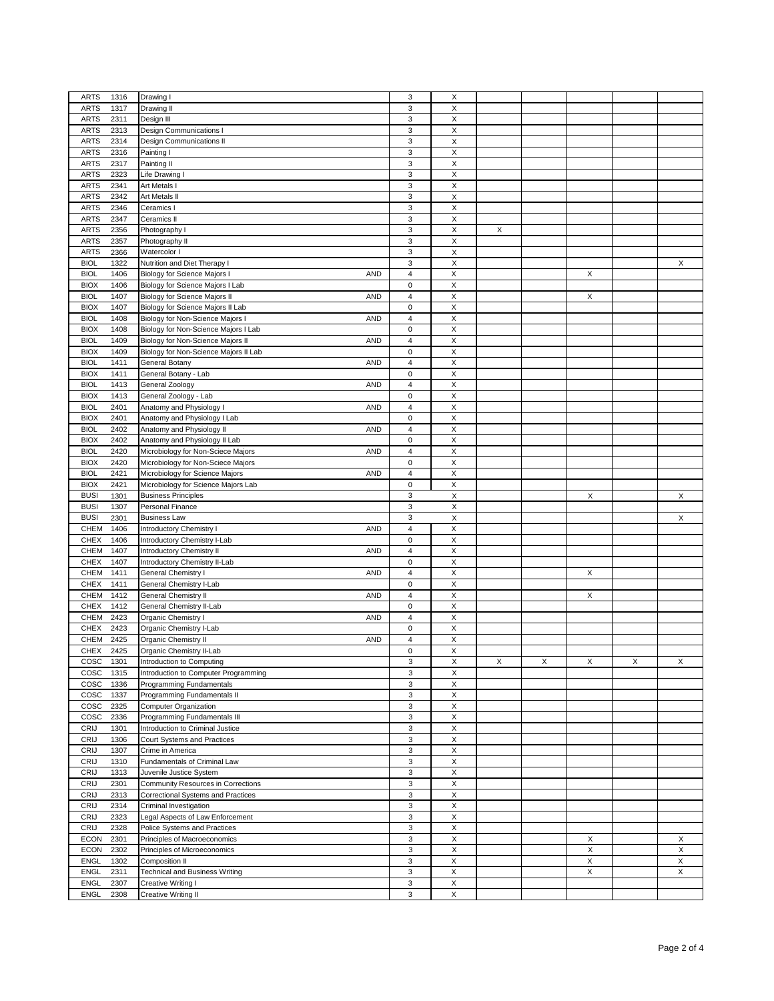|                     |                                                  | 3                       |                           |   |   |   |   |   |
|---------------------|--------------------------------------------------|-------------------------|---------------------------|---|---|---|---|---|
| <b>ARTS</b><br>1316 | Drawing I                                        |                         | X                         |   |   |   |   |   |
| <b>ARTS</b><br>1317 | Drawing II                                       | 3                       | $\boldsymbol{\mathsf{X}}$ |   |   |   |   |   |
| <b>ARTS</b><br>2311 | Design III                                       | 3                       | Х                         |   |   |   |   |   |
| <b>ARTS</b><br>2313 | Design Communications I                          | 3                       | $\boldsymbol{\mathsf{X}}$ |   |   |   |   |   |
| 2314<br><b>ARTS</b> | Design Communications II                         | 3                       | X                         |   |   |   |   |   |
| <b>ARTS</b><br>2316 | Painting I                                       | 3                       | X                         |   |   |   |   |   |
|                     |                                                  |                         |                           |   |   |   |   |   |
| <b>ARTS</b><br>2317 | Painting II                                      | 3                       | X                         |   |   |   |   |   |
| <b>ARTS</b><br>2323 | Life Drawing I                                   | 3                       | X                         |   |   |   |   |   |
| <b>ARTS</b><br>2341 | Art Metals I                                     | 3                       | X                         |   |   |   |   |   |
| <b>ARTS</b><br>2342 | Art Metals II                                    | 3                       | X                         |   |   |   |   |   |
| 2346<br><b>ARTS</b> | Ceramics I                                       | 3                       | X                         |   |   |   |   |   |
| <b>ARTS</b><br>2347 | Ceramics II                                      | 3                       | X                         |   |   |   |   |   |
|                     |                                                  |                         |                           |   |   |   |   |   |
| <b>ARTS</b><br>2356 | Photography I                                    | 3                       | X                         | X |   |   |   |   |
| <b>ARTS</b><br>2357 | Photography II                                   | 3                       | X                         |   |   |   |   |   |
| <b>ARTS</b><br>2366 | Watercolor I                                     | 3                       | $\boldsymbol{\mathsf{X}}$ |   |   |   |   |   |
| <b>BIOL</b><br>1322 | Nutrition and Diet Therapy I                     | 3                       | X                         |   |   |   |   | Χ |
| <b>BIOL</b><br>1406 | Biology for Science Majors I<br><b>AND</b>       | $\overline{4}$          | X                         |   |   | X |   |   |
| <b>BIOX</b><br>1406 | Biology for Science Majors I Lab                 | 0                       | X                         |   |   |   |   |   |
|                     |                                                  |                         |                           |   |   |   |   |   |
| <b>BIOL</b><br>1407 | Biology for Science Majors II<br><b>AND</b>      | 4                       | X                         |   |   | Х |   |   |
| <b>BIOX</b><br>1407 | Biology for Science Majors II Lab                | 0                       | X                         |   |   |   |   |   |
| <b>BIOL</b><br>1408 | <b>AND</b><br>Biology for Non-Science Majors I   | $\overline{4}$          | $\mathsf X$               |   |   |   |   |   |
| 1408<br><b>BIOX</b> | Biology for Non-Science Majors I Lab             | 0                       | X                         |   |   |   |   |   |
| <b>BIOL</b><br>1409 | Biology for Non-Science Majors II<br><b>AND</b>  | 4                       | X                         |   |   |   |   |   |
| <b>BIOX</b><br>1409 | Biology for Non-Science Majors II Lab            | 0                       | X                         |   |   |   |   |   |
|                     |                                                  |                         |                           |   |   |   |   |   |
| <b>BIOL</b><br>1411 | <b>AND</b><br>General Botany                     | 4                       | X                         |   |   |   |   |   |
| <b>BIOX</b><br>1411 | General Botany - Lab                             | 0                       | X                         |   |   |   |   |   |
| <b>BIOL</b><br>1413 | <b>AND</b><br>General Zoology                    | $\overline{\mathbf{4}}$ | X                         |   |   |   |   |   |
| 1413<br><b>BIOX</b> | General Zoology - Lab                            | 0                       | X                         |   |   |   |   |   |
| 2401<br><b>BIOL</b> | Anatomy and Physiology I<br><b>AND</b>           | $\overline{4}$          | X                         |   |   |   |   |   |
| <b>BIOX</b><br>2401 | Anatomy and Physiology I Lab                     | 0                       | X                         |   |   |   |   |   |
|                     | Anatomy and Physiology II                        | $\overline{4}$          |                           |   |   |   |   |   |
| <b>BIOL</b><br>2402 | <b>AND</b>                                       |                         | X                         |   |   |   |   |   |
| <b>BIOX</b><br>2402 | Anatomy and Physiology II Lab                    | 0                       | X                         |   |   |   |   |   |
| <b>BIOL</b><br>2420 | Microbiology for Non-Sciece Majors<br><b>AND</b> | 4                       | X                         |   |   |   |   |   |
| <b>BIOX</b><br>2420 | Microbiology for Non-Sciece Majors               | $\pmb{0}$               | $\mathsf X$               |   |   |   |   |   |
| <b>BIOL</b><br>2421 | Microbiology for Science Majors<br><b>AND</b>    | 4                       | X                         |   |   |   |   |   |
| <b>BIOX</b><br>2421 | Microbiology for Science Majors Lab              | $\pmb{0}$               | X                         |   |   |   |   |   |
| <b>BUSI</b><br>1301 |                                                  | $\mathsf 3$             | X                         |   |   | X |   | X |
|                     | <b>Business Principles</b>                       |                         |                           |   |   |   |   |   |
| <b>BUSI</b><br>1307 | Personal Finance                                 | 3                       | X                         |   |   |   |   |   |
| <b>BUSI</b><br>2301 | <b>Business Law</b>                              | $\mathsf 3$             | X                         |   |   |   |   | X |
| 1406<br>CHEM        | Introductory Chemistry I<br><b>AND</b>           | $\overline{\mathbf{4}}$ | X                         |   |   |   |   |   |
| <b>CHEX</b><br>1406 | Introductory Chemistry I-Lab                     | 0                       | X                         |   |   |   |   |   |
| CHEM<br>1407        | <b>Introductory Chemistry II</b><br><b>AND</b>   | 4                       | X                         |   |   |   |   |   |
| <b>CHEX</b><br>1407 | Introductory Chemistry II-Lab                    | 0                       | X                         |   |   |   |   |   |
|                     |                                                  |                         |                           |   |   |   |   |   |
| CHEM<br>1411        | General Chemistry I<br><b>AND</b>                | $\overline{4}$          | X                         |   |   | X |   |   |
| <b>CHEX</b><br>1411 | General Chemistry I-Lab                          | 0                       | X                         |   |   |   |   |   |
| 1412<br>CHEM        | <b>AND</b><br>General Chemistry II               | $\overline{4}$          | X                         |   |   | X |   |   |
| <b>CHEX</b><br>1412 | General Chemistry II-Lab                         | $\mathbf 0$             | X                         |   |   |   |   |   |
| CHEM<br>2423        | Organic Chemistry I<br><b>AND</b>                | $\overline{4}$          | X                         |   |   |   |   |   |
| <b>CHEX</b><br>2423 | Organic Chemistry I-Lab                          | 0                       | X                         |   |   |   |   |   |
|                     |                                                  |                         |                           |   |   |   |   |   |
| CHEM<br>2425        | Organic Chemistry II<br><b>AND</b>               | $\overline{4}$          | X                         |   |   |   |   |   |
| <b>CHEX</b><br>2425 | Organic Chemistry II-Lab                         | $\mathbf 0$             | X                         |   |   |   |   |   |
| COSC<br>1301        | Introduction to Computing                        | 3                       | Х                         | X | X | Χ | X | X |
| COSC<br>1315        | Introduction to Computer Programming             | 3                       | $\boldsymbol{\mathsf{X}}$ |   |   |   |   |   |
| COSC<br>1336        | Programming Fundamentals                         | 3                       | X                         |   |   |   |   |   |
| COSC<br>1337        | Programming Fundamentals II                      | 3                       | X                         |   |   |   |   |   |
|                     |                                                  |                         |                           |   |   |   |   |   |
| cosc<br>2325        | Computer Organization                            | 3                       | X                         |   |   |   |   |   |
| COSC<br>2336        | Programming Fundamentals III                     | 3                       | X                         |   |   |   |   |   |
| CRIJ<br>1301        | Introduction to Criminal Justice                 | 3                       | $\boldsymbol{\mathsf{X}}$ |   |   |   |   |   |
| CRIJ<br>1306        | Court Systems and Practices                      | 3                       | $\boldsymbol{\mathsf{X}}$ |   |   |   |   |   |
| CRIJ<br>1307        | Crime in America                                 | 3                       | X                         |   |   |   |   |   |
| CRIJ<br>1310        | Fundamentals of Criminal Law                     | 3                       | $\boldsymbol{\mathsf{X}}$ |   |   |   |   |   |
|                     |                                                  | 3                       | $\boldsymbol{\mathsf{X}}$ |   |   |   |   |   |
| CRIJ<br>1313        | Juvenile Justice System                          |                         |                           |   |   |   |   |   |
| CRIJ<br>2301        | Community Resources in Corrections               | 3                       | $\boldsymbol{\mathsf{X}}$ |   |   |   |   |   |
| CRIJ<br>2313        | Correctional Systems and Practices               | 3                       | X                         |   |   |   |   |   |
| CRIJ<br>2314        | Criminal Investigation                           | 3                       | $\mathsf X$               |   |   |   |   |   |
| <b>CRIJ</b><br>2323 | Legal Aspects of Law Enforcement                 | 3                       | Х                         |   |   |   |   |   |
| CRIJ<br>2328        | Police Systems and Practices                     | 3                       | X                         |   |   |   |   |   |
| <b>ECON</b><br>2301 | Principles of Macroeconomics                     | 3                       | $\boldsymbol{\mathsf{X}}$ |   |   | Χ |   | X |
| <b>ECON</b><br>2302 | Principles of Microeconomics                     | 3                       | X                         |   |   | X |   | X |
|                     |                                                  |                         |                           |   |   |   |   |   |
| <b>ENGL</b><br>1302 | Composition II                                   | 3                       | X                         |   |   | X |   | X |
| <b>ENGL</b><br>2311 | <b>Technical and Business Writing</b>            | 3                       | $\mathsf X$               |   |   | X |   | X |
| <b>ENGL</b><br>2307 | Creative Writing I                               | 3                       | X                         |   |   |   |   |   |
| ENGL<br>2308        | Creative Writing II                              | 3                       | X                         |   |   |   |   |   |
|                     |                                                  |                         |                           |   |   |   |   |   |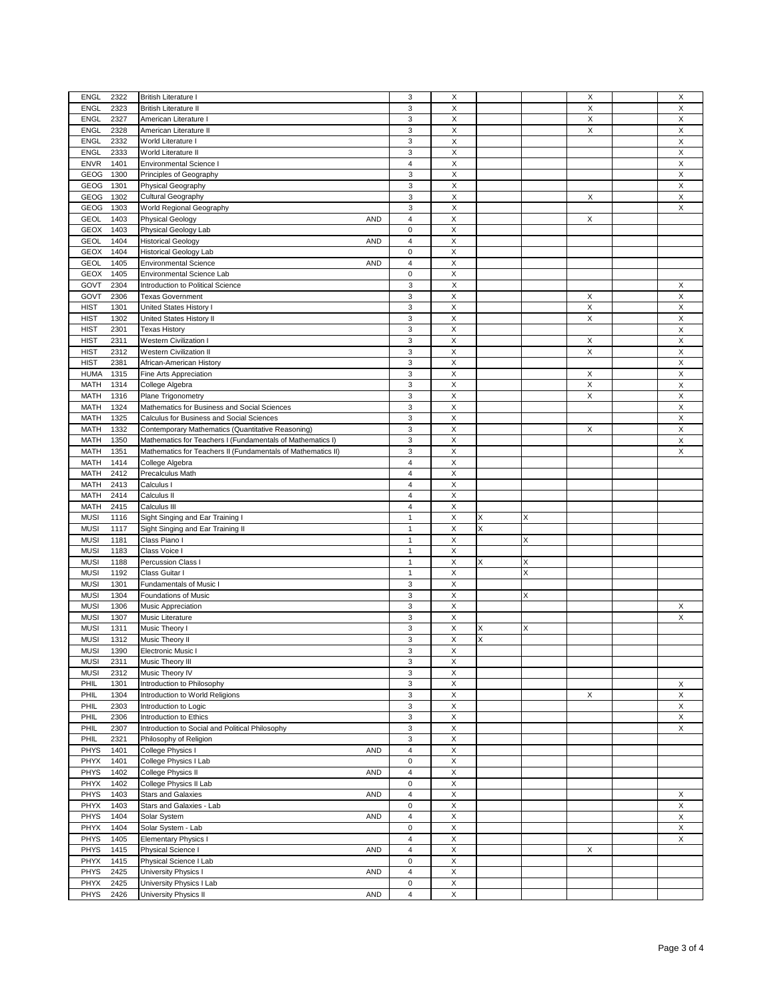| 2322<br><b>ENGL</b><br><b>British Literature I</b>                                      | 3                       | X                         |   |   | X | X |
|-----------------------------------------------------------------------------------------|-------------------------|---------------------------|---|---|---|---|
| <b>ENGL</b>                                                                             | 3                       | X                         |   |   | X | X |
| 2323<br><b>British Literature II</b>                                                    |                         |                           |   |   |   |   |
| <b>ENGL</b><br>2327<br>American Literature I                                            | 3                       | X                         |   |   | X | X |
| <b>ENGL</b><br>2328<br>American Literature II                                           | $\mathsf 3$             | X                         |   |   | X | Χ |
|                                                                                         |                         |                           |   |   |   |   |
| 2332<br><b>ENGL</b><br>World Literature I                                               | 3                       | X                         |   |   |   | Χ |
| <b>ENGL</b><br>2333<br>World Literature II                                              | $\mathsf 3$             | X                         |   |   |   | X |
|                                                                                         |                         |                           |   |   |   |   |
| <b>ENVR</b><br>1401<br>Environmental Science I                                          | $\overline{4}$          | X                         |   |   |   | X |
| GEOG<br>1300<br>Principles of Geography                                                 | 3                       | $\boldsymbol{\mathsf{X}}$ |   |   |   | X |
|                                                                                         |                         |                           |   |   |   |   |
| GEOG<br>1301<br>Physical Geography                                                      | $\mathbf{3}$            | X                         |   |   |   | X |
| GEOG<br>1302<br>Cultural Geography                                                      | $\mathsf 3$             | X                         |   |   | X | X |
| World Regional Geography<br>1303                                                        |                         |                           |   |   |   |   |
| GEOG                                                                                    | $\mathbf{3}$            | X                         |   |   |   | Χ |
| <b>GEOL</b><br>1403<br><b>AND</b><br><b>Physical Geology</b>                            | $\overline{4}$          | X                         |   |   | X |   |
| <b>GEOX</b><br>1403<br>Physical Geology Lab                                             | $\mathbf 0$             | X                         |   |   |   |   |
|                                                                                         |                         |                           |   |   |   |   |
| <b>GEOL</b><br>1404<br><b>Historical Geology</b><br><b>AND</b>                          | $\overline{4}$          | X                         |   |   |   |   |
| <b>GEOX</b><br>1404<br><b>Historical Geology Lab</b>                                    | $\mathbf 0$             | X                         |   |   |   |   |
|                                                                                         |                         |                           |   |   |   |   |
| <b>GEOL</b><br>1405<br><b>Environmental Science</b><br>AND                              | $\overline{4}$          | X                         |   |   |   |   |
| GEOX<br>1405<br>Environmental Science Lab                                               | $\mathbf 0$             | X                         |   |   |   |   |
|                                                                                         |                         |                           |   |   |   |   |
| 2304<br>GOVT<br>Introduction to Political Science                                       | 3                       | X                         |   |   |   | Χ |
| GOVT<br>2306<br><b>Texas Government</b>                                                 | $\mathsf 3$             | X                         |   |   | X | X |
| <b>HIST</b><br>1301<br>United States History I                                          | 3                       | X                         |   |   | X | X |
|                                                                                         |                         |                           |   |   |   |   |
| <b>HIST</b><br>1302<br>United States History II                                         | 3                       | X                         |   |   | X | X |
| 2301<br><b>HIST</b><br><b>Texas History</b>                                             | 3                       | X                         |   |   |   | X |
|                                                                                         |                         |                           |   |   |   |   |
| <b>HIST</b><br>2311<br>Western Civilization I                                           | $\mathsf 3$             | X                         |   |   | Х | X |
| <b>HIST</b><br>2312<br><b>Western Civilization II</b>                                   | 3                       | X                         |   |   | X | X |
|                                                                                         |                         |                           |   |   |   |   |
| <b>HIST</b><br>2381<br>African-American History                                         | $\mathsf 3$             | X                         |   |   |   | X |
| <b>HUMA</b><br>1315<br>Fine Arts Appreciation                                           | 3                       | $\boldsymbol{\mathsf{X}}$ |   |   | X | X |
|                                                                                         |                         |                           |   |   |   |   |
| <b>MATH</b><br>1314<br>College Algebra                                                  | 3                       | X                         |   |   | X | X |
| <b>MATH</b><br>1316<br>Plane Trigonometry                                               | 3                       | X                         |   |   | X | X |
|                                                                                         |                         |                           |   |   |   |   |
| <b>MATH</b><br>1324<br>Mathematics for Business and Social Sciences                     | $\mathsf 3$             | X                         |   |   |   | X |
| <b>MATH</b><br>1325<br>Calculus for Business and Social Sciences                        | 3                       | X                         |   |   |   | X |
|                                                                                         |                         |                           |   |   |   |   |
| 1332<br><b>MATH</b><br>Contemporary Mathematics (Quantitative Reasoning)                | 3                       | $\boldsymbol{\mathsf{X}}$ |   |   | X | X |
| <b>MATH</b><br>1350<br>Mathematics for Teachers I (Fundamentals of Mathematics I)       | $\mathsf 3$             | X                         |   |   |   | X |
| <b>MATH</b><br>1351                                                                     | 3                       | X                         |   |   |   | X |
| Mathematics for Teachers II (Fundamentals of Mathematics II)                            |                         |                           |   |   |   |   |
| <b>MATH</b><br>1414<br>College Algebra                                                  | $\overline{4}$          | X                         |   |   |   |   |
| <b>MATH</b><br>2412<br>Precalculus Math                                                 | 4                       | Χ                         |   |   |   |   |
|                                                                                         |                         |                           |   |   |   |   |
| <b>MATH</b><br>2413<br>Calculus I                                                       | $\overline{4}$          | Χ                         |   |   |   |   |
| <b>MATH</b><br>2414<br>Calculus II                                                      | $\overline{4}$          | X                         |   |   |   |   |
|                                                                                         |                         |                           |   |   |   |   |
| <b>MATH</b><br>2415<br>Calculus III                                                     | $\overline{4}$          | X                         |   |   |   |   |
| <b>MUSI</b><br>1116<br>Sight Singing and Ear Training I                                 | $\mathbf{1}$            | X                         | X | Χ |   |   |
|                                                                                         |                         |                           |   |   |   |   |
| <b>MUSI</b><br>1117<br>Sight Singing and Ear Training II                                | $\mathbf{1}$            | X                         | X |   |   |   |
| <b>MUSI</b><br>1181<br>Class Piano I                                                    | $\mathbf{1}$            | X                         |   | X |   |   |
|                                                                                         |                         |                           |   |   |   |   |
| <b>MUSI</b><br>1183<br>Class Voice I                                                    | $\mathbf{1}$            | X                         |   |   |   |   |
| <b>MUSI</b><br>1188<br>Percussion Class I                                               | $\mathbf{1}$            | X                         | X | X |   |   |
|                                                                                         |                         |                           |   |   |   |   |
| <b>MUSI</b><br>1192<br>Class Guitar I                                                   | $\mathbf{1}$            | $\boldsymbol{\mathsf{X}}$ |   | X |   |   |
| <b>MUSI</b><br>1301<br>Fundamentals of Music I                                          | $\mathsf 3$             | X                         |   |   |   |   |
| <b>MUSI</b><br>1304<br>Foundations of Music                                             | 3                       | X                         |   | X |   |   |
|                                                                                         |                         |                           |   |   |   |   |
| <b>MUSI</b><br>1306<br>Music Appreciation                                               | $\mathsf 3$             | $\mathsf X$               |   |   |   | Х |
| <b>MUSI</b><br>1307<br>Music Literature                                                 | 3                       | X                         |   |   |   | X |
|                                                                                         |                         |                           |   |   |   |   |
| <b>MUSI</b><br>1311<br>Music Theory I                                                   | 3                       | X                         | X | X |   |   |
| <b>MUSI</b><br>1312<br>Music Theory II                                                  | 3                       | X                         | X |   |   |   |
|                                                                                         |                         |                           |   |   |   |   |
| <b>MUSI</b><br>1390<br>Electronic Music I                                               | 3                       | X                         |   |   |   |   |
| <b>MUSI</b><br>Music Theory III<br>2311                                                 | 3                       | X                         |   |   |   |   |
|                                                                                         |                         |                           |   |   |   |   |
| <b>MUSI</b><br>2312<br>Music Theory IV                                                  | 3                       | X                         |   |   |   |   |
| 1301<br>PHIL<br>Introduction to Philosophy                                              | $\mathsf 3$             | X                         |   |   |   | X |
| PHIL<br>1304<br>Introduction to World Religions                                         | 3                       |                           |   |   | X |   |
|                                                                                         |                         | X                         |   |   |   | Х |
| PHIL<br>2303<br>Introduction to Logic                                                   | 3                       | X                         |   |   |   | X |
| PHIL<br>2306<br>Introduction to Ethics                                                  | $\mathsf 3$             | $\boldsymbol{\mathsf{X}}$ |   |   |   | X |
|                                                                                         |                         |                           |   |   |   |   |
| PHIL<br>2307<br>Introduction to Social and Political Philosophy                         | 3                       | X                         |   |   |   | X |
| PHIL<br>2321<br>Philosophy of Religion                                                  | 3                       | X                         |   |   |   |   |
|                                                                                         |                         |                           |   |   |   |   |
| 1401<br>PHYS<br>College Physics I<br><b>AND</b>                                         | $\overline{\mathbf{4}}$ | X                         |   |   |   |   |
| PHYX<br>1401<br>College Physics I Lab                                                   | $\mathsf 0$             | X                         |   |   |   |   |
|                                                                                         |                         |                           |   |   |   |   |
| PHYS<br>1402<br>College Physics II<br><b>AND</b>                                        | $\overline{\mathbf{4}}$ | X                         |   |   |   |   |
| PHYX<br>1402<br>College Physics II Lab                                                  | $\mathsf 0$             | $\boldsymbol{\mathsf{X}}$ |   |   |   |   |
| 1403<br><b>Stars and Galaxies</b>                                                       | $\overline{\mathbf{4}}$ |                           |   |   |   |   |
| PHYS<br><b>AND</b>                                                                      |                         | X                         |   |   |   | X |
| 1403<br>PHYX<br>Stars and Galaxies - Lab                                                | $\mathsf 0$             | X                         |   |   |   | X |
| PHYS<br>1404<br>Solar System<br><b>AND</b>                                              | $\overline{4}$          | X                         |   |   |   | X |
|                                                                                         |                         |                           |   |   |   |   |
| PHYX<br>1404<br>Solar System - Lab                                                      |                         | X                         |   |   |   | X |
|                                                                                         | $\mathsf 0$             |                           |   |   |   |   |
|                                                                                         |                         |                           |   |   |   |   |
| PHYS<br>1405<br><b>Elementary Physics I</b>                                             | $\overline{4}$          | X                         |   |   |   | Χ |
| PHYS<br>1415<br>Physical Science I<br><b>AND</b>                                        | $\overline{4}$          | X                         |   |   | Χ |   |
|                                                                                         |                         |                           |   |   |   |   |
| PHYX<br>1415<br>Physical Science I Lab                                                  | 0                       | X                         |   |   |   |   |
| 2425<br>PHYS<br>University Physics I<br><b>AND</b>                                      | $\overline{4}$          | X                         |   |   |   |   |
| 2425                                                                                    | $\pmb{0}$               |                           |   |   |   |   |
| PHYX<br>University Physics I Lab<br>PHYS<br>2426<br><b>AND</b><br>University Physics II | $\overline{4}$          | X<br>X                    |   |   |   |   |